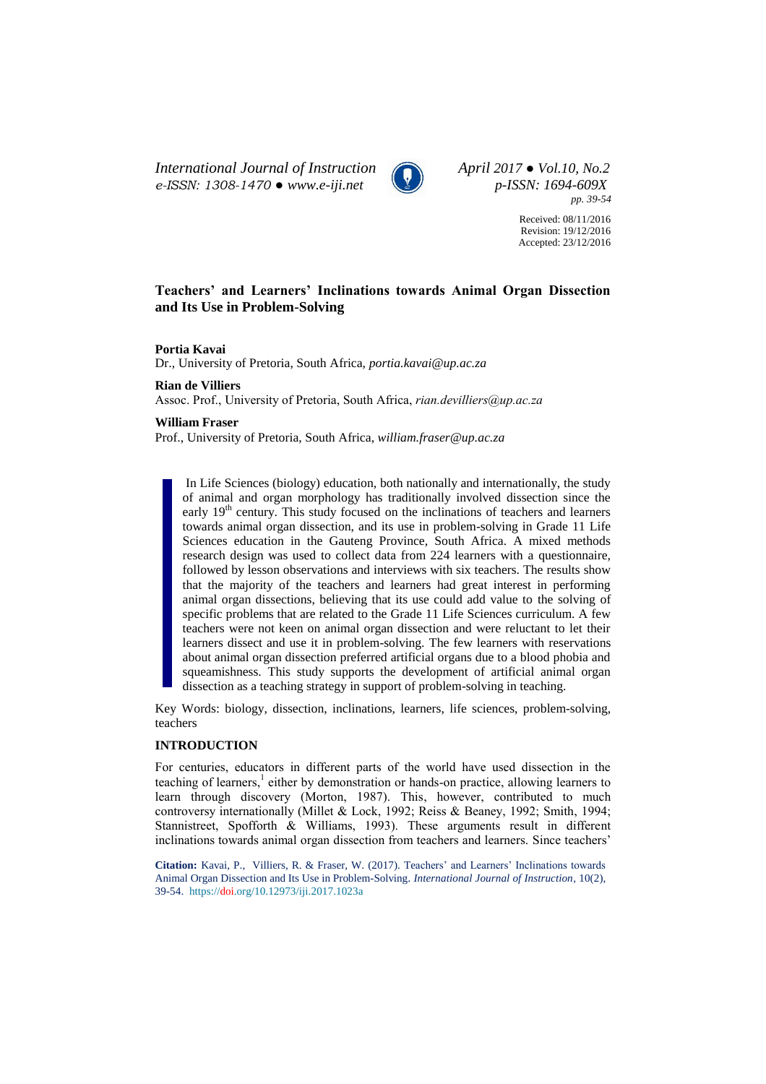*International Journal of Instruction April 2017 ● Vol.10, No.2 e-ISSN: 1308-1470 ● www.e-iji.net p-ISSN: 1694-609X*



*pp. 39-54*

Received: 08/11/2016 Revision: 19/12/2016 Accepted: 23/12/2016

# **Teachers' and Learners' Inclinations towards Animal Organ Dissection and Its Use in Problem-Solving**

**Portia Kavai**

Dr., University of Pretoria, South Africa, *[portia.kavai@up.ac.za](mailto:portia.kavai@up.ac.za)*

**Rian de Villiers**

Assoc. Prof., University of Pretoria, South Africa, *[rian.devilliers@up.ac.za](mailto:rian.devilliers@up.ac.za)*

## **William Fraser**

Prof., University of Pretoria, South Africa, *[william.fraser@up.ac.za](mailto:william.fraser@up.ac.za)*

In Life Sciences (biology) education, both nationally and internationally, the study of animal and organ morphology has traditionally involved dissection since the early  $19<sup>th</sup>$  century. This study focused on the inclinations of teachers and learners towards animal organ dissection, and its use in problem-solving in Grade 11 Life Sciences education in the Gauteng Province, South Africa. A mixed methods research design was used to collect data from 224 learners with a questionnaire, followed by lesson observations and interviews with six teachers. The results show that the majority of the teachers and learners had great interest in performing animal organ dissections, believing that its use could add value to the solving of specific problems that are related to the Grade 11 Life Sciences curriculum. A few teachers were not keen on animal organ dissection and were reluctant to let their learners dissect and use it in problem-solving. The few learners with reservations about animal organ dissection preferred artificial organs due to a blood phobia and squeamishness. This study supports the development of artificial animal organ dissection as a teaching strategy in support of problem-solving in teaching.

Key Words: biology, dissection, inclinations, learners, life sciences, problem-solving, teachers

# **INTRODUCTION**

For centuries, educators in different parts of the world have used dissection in the teaching of learners, 1 either by demonstration or hands-on practice, allowing learners to learn through discovery (Morton, 1987). This, however, contributed to much controversy internationally (Millet & Lock, 1992; Reiss & Beaney, 1992; Smith, 1994; Stannistreet, Spofforth & Williams, 1993). These arguments result in different inclinations towards animal organ dissection from teachers and learners. Since teachers'

**Citation:** Kavai, P., Villiers, R. & Fraser, W. (2017). Teachers' and Learners' Inclinations towards Animal Organ Dissection and Its Use in Problem-Solving. *International Journal of Instruction*, 10(2), 39-54. https://doi.org/10.12973/iji.2017.1023a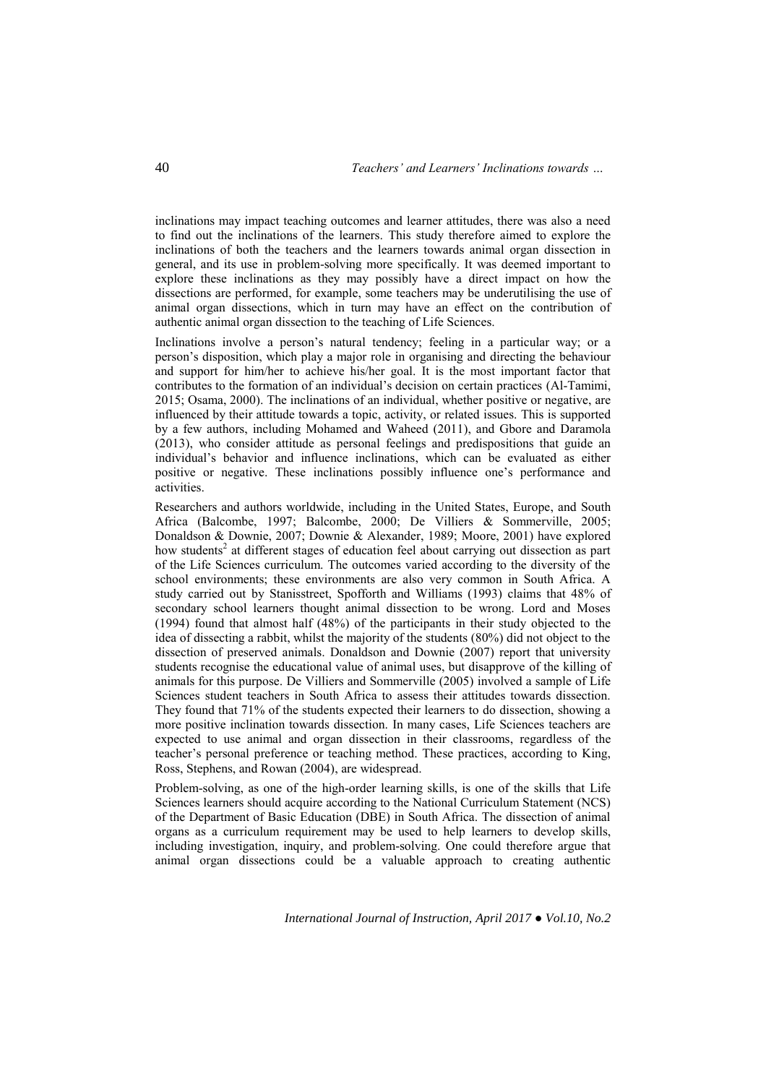inclinations may impact teaching outcomes and learner attitudes, there was also a need to find out the inclinations of the learners. This study therefore aimed to explore the inclinations of both the teachers and the learners towards animal organ dissection in general, and its use in problem-solving more specifically. It was deemed important to explore these inclinations as they may possibly have a direct impact on how the dissections are performed, for example, some teachers may be underutilising the use of animal organ dissections, which in turn may have an effect on the contribution of authentic animal organ dissection to the teaching of Life Sciences.

Inclinations involve a person's natural tendency; feeling in a particular way; or a person's disposition, which play a major role in organising and directing the behaviour and support for him/her to achieve his/her goal. It is the most important factor that contributes to the formation of an individual's decision on certain practices (Al-Tamimi, 2015; Osama, 2000). The inclinations of an individual, whether positive or negative, are influenced by their attitude towards a topic, activity, or related issues. This is supported by a few authors, including Mohamed and Waheed (2011), and Gbore and Daramola (2013), who consider attitude as personal feelings and predispositions that guide an individual's behavior and influence inclinations, which can be evaluated as either positive or negative. These inclinations possibly influence one's performance and activities.

Researchers and authors worldwide, including in the United States, Europe, and South Africa (Balcombe, 1997; Balcombe, 2000; De Villiers & Sommerville, 2005; Donaldson & Downie, 2007; Downie & Alexander, 1989; Moore, 2001) have explored how students<sup>2</sup> at different stages of education feel about carrying out dissection as part of the Life Sciences curriculum. The outcomes varied according to the diversity of the school environments; these environments are also very common in South Africa. A study carried out by Stanisstreet, Spofforth and Williams (1993) claims that 48% of secondary school learners thought animal dissection to be wrong. Lord and Moses (1994) found that almost half (48%) of the participants in their study objected to the idea of dissecting a rabbit, whilst the majority of the students (80%) did not object to the dissection of preserved animals. Donaldson and Downie (2007) report that university students recognise the educational value of animal uses, but disapprove of the killing of animals for this purpose. De Villiers and Sommerville (2005) involved a sample of Life Sciences student teachers in South Africa to assess their attitudes towards dissection. They found that 71% of the students expected their learners to do dissection, showing a more positive inclination towards dissection. In many cases, Life Sciences teachers are expected to use animal and organ dissection in their classrooms, regardless of the teacher's personal preference or teaching method. These practices, according to King, Ross, Stephens, and Rowan (2004), are widespread.

Problem-solving, as one of the high-order learning skills, is one of the skills that Life Sciences learners should acquire according to the National Curriculum Statement (NCS) of the Department of Basic Education (DBE) in South Africa. The dissection of animal organs as a curriculum requirement may be used to help learners to develop skills, including investigation, inquiry, and problem-solving. One could therefore argue that animal organ dissections could be a valuable approach to creating authentic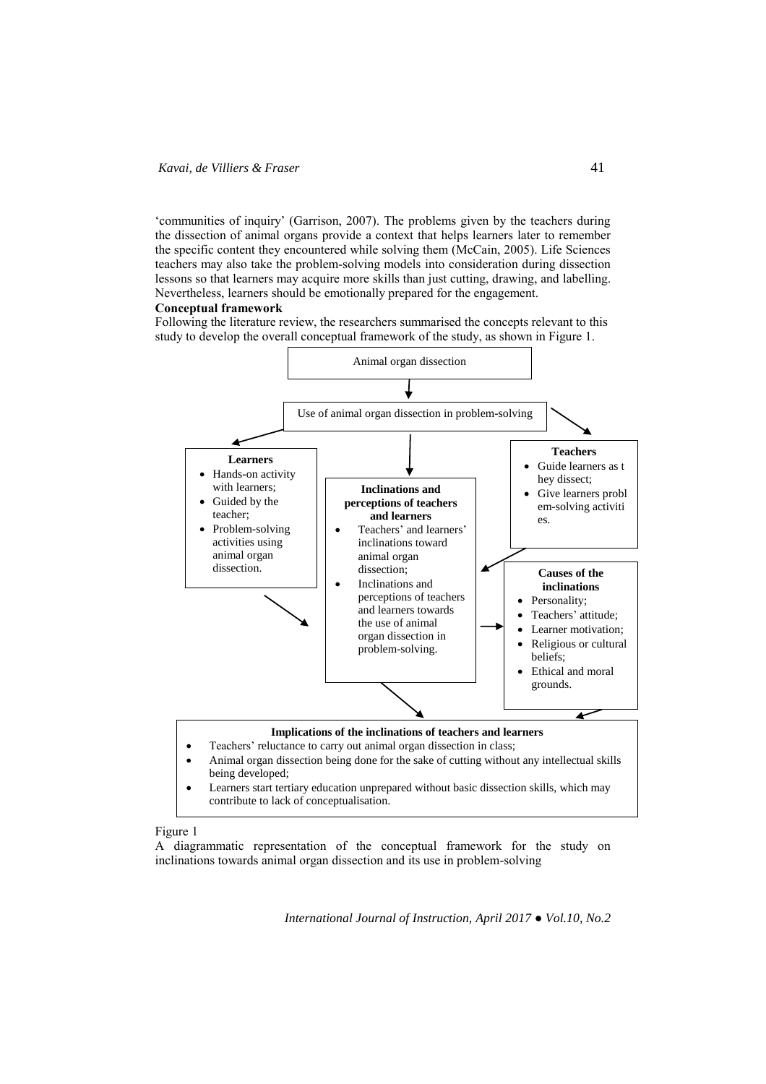'communities of inquiry' (Garrison, 2007). The problems given by the teachers during the dissection of animal organs provide a context that helps learners later to remember the specific content they encountered while solving them (McCain, 2005). Life Sciences teachers may also take the problem-solving models into consideration during dissection lessons so that learners may acquire more skills than just cutting, drawing, and labelling. Nevertheless, learners should be emotionally prepared for the engagement.

# **Conceptual framework**

Following the literature review, the researchers summarised the concepts relevant to this study to develop the overall conceptual framework of the study, as shown in Figure 1.



#### Figure 1

A diagrammatic representation of the conceptual framework for the study on inclinations towards animal organ dissection and its use in problem-solving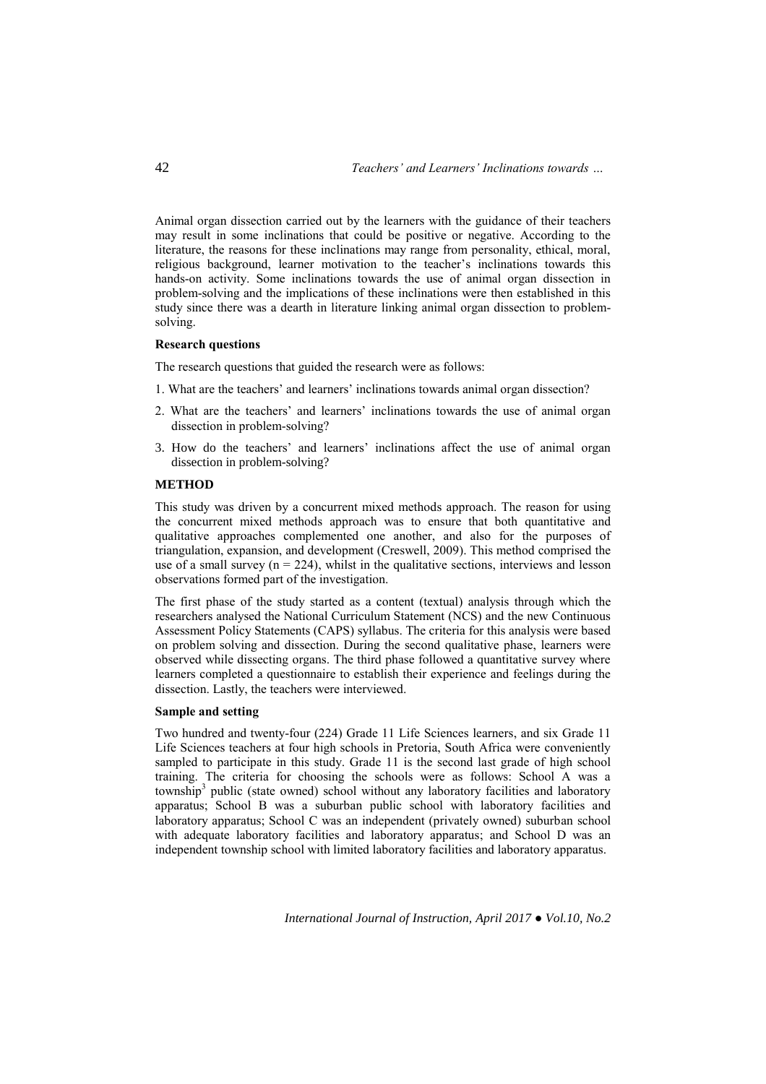Animal organ dissection carried out by the learners with the guidance of their teachers may result in some inclinations that could be positive or negative. According to the literature, the reasons for these inclinations may range from personality, ethical, moral, religious background, learner motivation to the teacher's inclinations towards this hands-on activity. Some inclinations towards the use of animal organ dissection in problem-solving and the implications of these inclinations were then established in this study since there was a dearth in literature linking animal organ dissection to problemsolving.

## **Research questions**

The research questions that guided the research were as follows:

- 1. What are the teachers' and learners' inclinations towards animal organ dissection?
- 2. What are the teachers' and learners' inclinations towards the use of animal organ dissection in problem-solving?
- 3. How do the teachers' and learners' inclinations affect the use of animal organ dissection in problem-solving?

# **METHOD**

This study was driven by a concurrent mixed methods approach. The reason for using the concurrent mixed methods approach was to ensure that both quantitative and qualitative approaches complemented one another, and also for the purposes of triangulation, expansion, and development (Creswell, 2009). This method comprised the use of a small survey ( $n = 224$ ), whilst in the qualitative sections, interviews and lesson observations formed part of the investigation.

The first phase of the study started as a content (textual) analysis through which the researchers analysed the National Curriculum Statement (NCS) and the new Continuous Assessment Policy Statements (CAPS) syllabus. The criteria for this analysis were based on problem solving and dissection. During the second qualitative phase, learners were observed while dissecting organs. The third phase followed a quantitative survey where learners completed a questionnaire to establish their experience and feelings during the dissection. Lastly, the teachers were interviewed.

## **Sample and setting**

Two hundred and twenty-four (224) Grade 11 Life Sciences learners, and six Grade 11 Life Sciences teachers at four high schools in Pretoria, South Africa were conveniently sampled to participate in this study. Grade 11 is the second last grade of high school training. The criteria for choosing the schools were as follows: School A was a township<sup>3</sup> public (state owned) school without any laboratory facilities and laboratory apparatus; School B was a suburban public school with laboratory facilities and laboratory apparatus; School C was an independent (privately owned) suburban school with adequate laboratory facilities and laboratory apparatus; and School D was an independent township school with limited laboratory facilities and laboratory apparatus.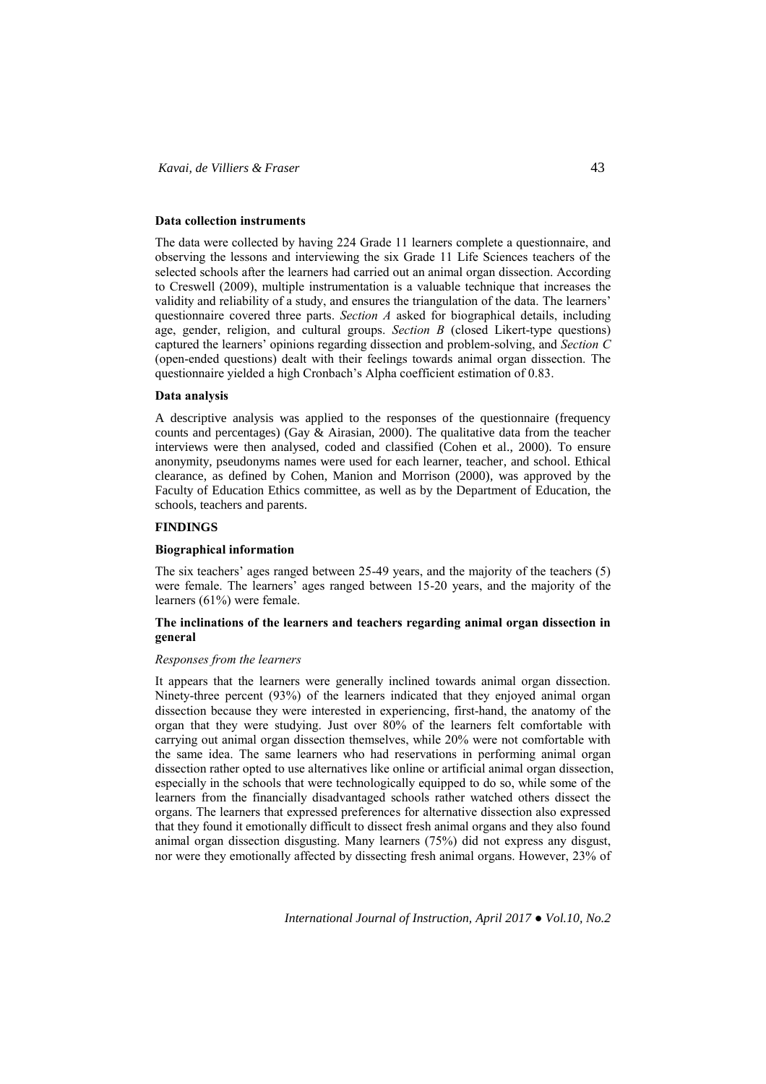## **Data collection instruments**

The data were collected by having 224 Grade 11 learners complete a questionnaire, and observing the lessons and interviewing the six Grade 11 Life Sciences teachers of the selected schools after the learners had carried out an animal organ dissection. According to Creswell (2009), multiple instrumentation is a valuable technique that increases the validity and reliability of a study, and ensures the triangulation of the data. The learners' questionnaire covered three parts. *Section A* asked for biographical details, including age, gender, religion, and cultural groups. *Section B* (closed Likert-type questions) captured the learners' opinions regarding dissection and problem-solving, and *Section C* (open-ended questions) dealt with their feelings towards animal organ dissection. The questionnaire yielded a high Cronbach's Alpha coefficient estimation of 0.83.

## **Data analysis**

A descriptive analysis was applied to the responses of the questionnaire (frequency counts and percentages) (Gay  $\&$  Airasian, 2000). The qualitative data from the teacher interviews were then analysed, coded and classified (Cohen et al., 2000). To ensure anonymity, pseudonyms names were used for each learner, teacher, and school. Ethical clearance, as defined by Cohen, Manion and Morrison (2000), was approved by the Faculty of Education Ethics committee, as well as by the Department of Education, the schools, teachers and parents.

# **FINDINGS**

#### **Biographical information**

The six teachers' ages ranged between 25-49 years, and the majority of the teachers (5) were female. The learners' ages ranged between 15-20 years, and the majority of the learners (61%) were female.

# **The inclinations of the learners and teachers regarding animal organ dissection in general**

# *Responses from the learners*

It appears that the learners were generally inclined towards animal organ dissection. Ninety-three percent (93%) of the learners indicated that they enjoyed animal organ dissection because they were interested in experiencing, first-hand, the anatomy of the organ that they were studying. Just over 80% of the learners felt comfortable with carrying out animal organ dissection themselves, while 20% were not comfortable with the same idea. The same learners who had reservations in performing animal organ dissection rather opted to use alternatives like online or artificial animal organ dissection, especially in the schools that were technologically equipped to do so, while some of the learners from the financially disadvantaged schools rather watched others dissect the organs. The learners that expressed preferences for alternative dissection also expressed that they found it emotionally difficult to dissect fresh animal organs and they also found animal organ dissection disgusting. Many learners (75%) did not express any disgust, nor were they emotionally affected by dissecting fresh animal organs. However, 23% of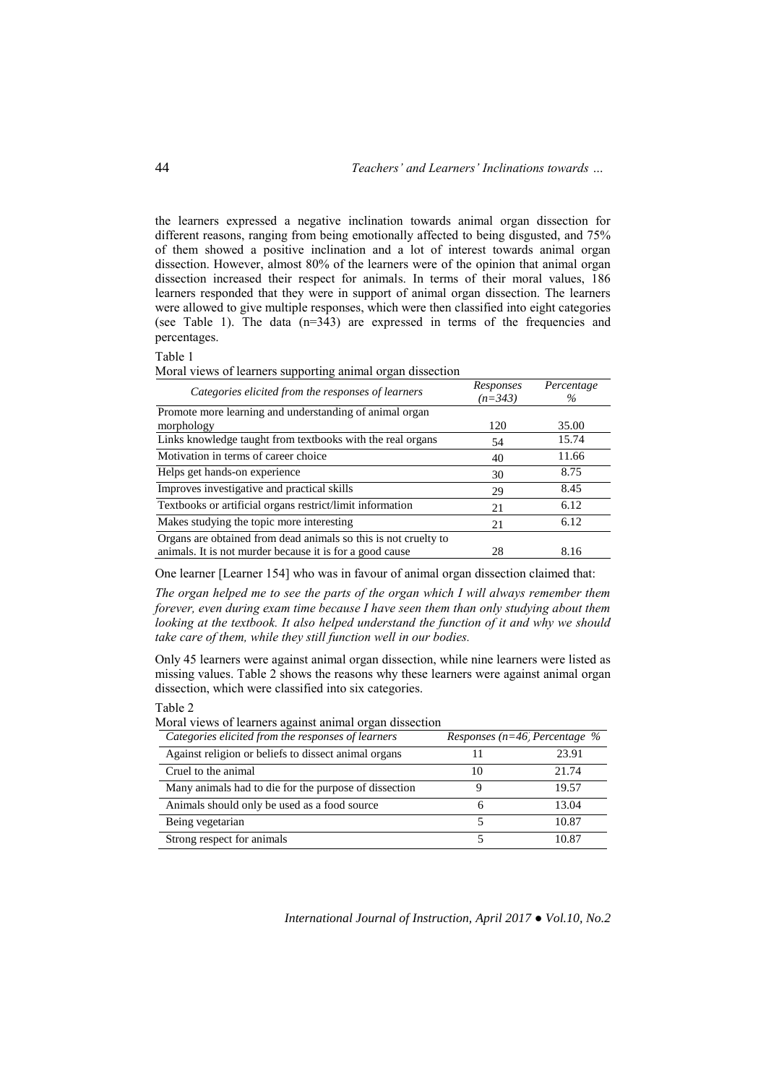the learners expressed a negative inclination towards animal organ dissection for different reasons, ranging from being emotionally affected to being disgusted, and 75% of them showed a positive inclination and a lot of interest towards animal organ dissection. However, almost 80% of the learners were of the opinion that animal organ dissection increased their respect for animals. In terms of their moral values, 186 learners responded that they were in support of animal organ dissection. The learners were allowed to give multiple responses, which were then classified into eight categories (see Table 1). The data  $(n=343)$  are expressed in terms of the frequencies and percentages.

#### Table 1

Moral views of learners supporting animal organ dissection

| Categories elicited from the responses of learners              | Responses<br>$(n=343)$ | Percentage<br>$\%$ |
|-----------------------------------------------------------------|------------------------|--------------------|
| Promote more learning and understanding of animal organ         |                        |                    |
| morphology                                                      | 120                    | 35.00              |
| Links knowledge taught from textbooks with the real organs      | 54                     | 15.74              |
| Motivation in terms of career choice                            | 40                     | 11.66              |
| Helps get hands-on experience                                   | 30                     | 8.75               |
| Improves investigative and practical skills                     | 29                     | 8.45               |
| Textbooks or artificial organs restrict/limit information       | 21                     | 6.12               |
| Makes studying the topic more interesting                       | 21                     | 6.12               |
| Organs are obtained from dead animals so this is not cruelty to |                        |                    |
| animals. It is not murder because it is for a good cause        | 28                     | 8.16               |

One learner [Learner 154] who was in favour of animal organ dissection claimed that:

*The organ helped me to see the parts of the organ which I will always remember them forever, even during exam time because I have seen them than only studying about them looking at the textbook. It also helped understand the function of it and why we should take care of them, while they still function well in our bodies.*

Only 45 learners were against animal organ dissection, while nine learners were listed as missing values. Table 2 shows the reasons why these learners were against animal organ dissection, which were classified into six categories.

Table 2

Moral views of learners against animal organ dissection

| Categories elicited from the responses of learners    |    | Responses ( $n=46$ , Percentage % |
|-------------------------------------------------------|----|-----------------------------------|
| Against religion or beliefs to dissect animal organs  |    | 23.91                             |
| Cruel to the animal                                   | 10 | 21.74                             |
| Many animals had to die for the purpose of dissection |    | 19.57                             |
| Animals should only be used as a food source          |    | 13.04                             |
| Being vegetarian                                      |    | 10.87                             |
| Strong respect for animals                            |    | 10.87                             |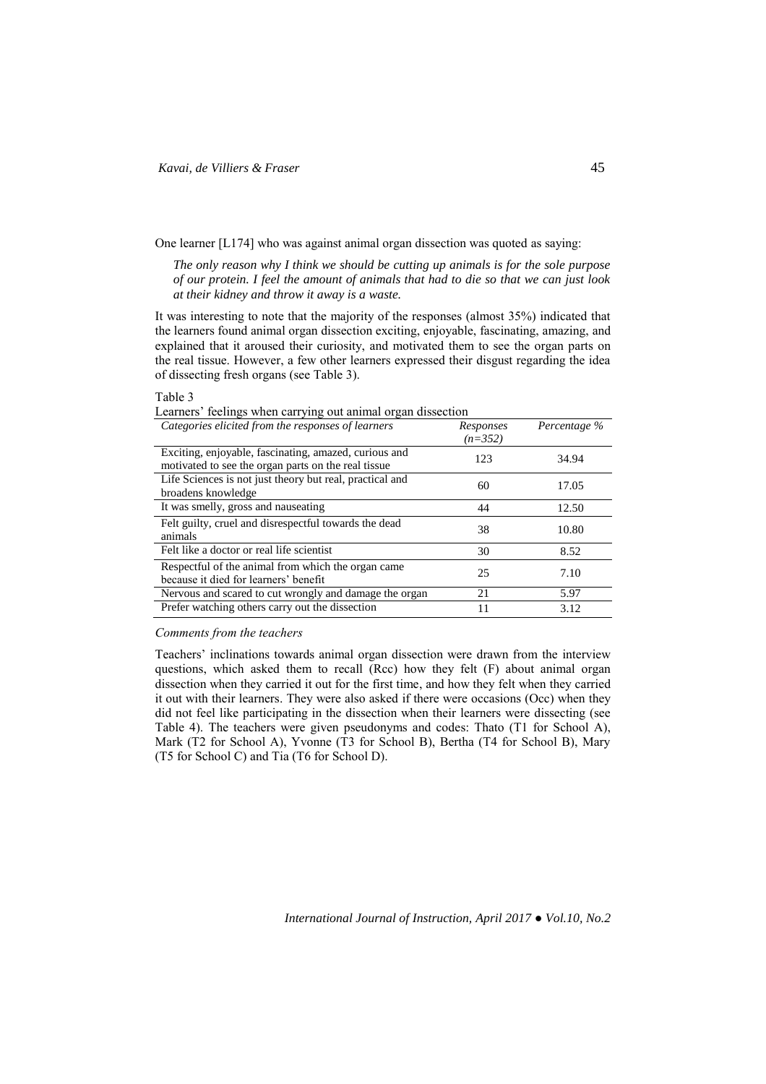One learner [L174] who was against animal organ dissection was quoted as saying:

*The only reason why I think we should be cutting up animals is for the sole purpose of our protein. I feel the amount of animals that had to die so that we can just look at their kidney and throw it away is a waste.*

It was interesting to note that the majority of the responses (almost 35%) indicated that the learners found animal organ dissection exciting, enjoyable, fascinating, amazing, and explained that it aroused their curiosity, and motivated them to see the organ parts on the real tissue. However, a few other learners expressed their disgust regarding the idea of dissecting fresh organs (see Table 3).

#### Table 3

Learners' feelings when carrying out animal organ dissection

| Categories elicited from the responses of learners                                                           | Responses<br>$(n=352)$ | Percentage % |
|--------------------------------------------------------------------------------------------------------------|------------------------|--------------|
| Exciting, enjoyable, fascinating, amazed, curious and<br>motivated to see the organ parts on the real tissue | 123                    | 34.94        |
| Life Sciences is not just theory but real, practical and<br>broadens knowledge                               | 60                     | 17.05        |
| It was smelly, gross and nauseating                                                                          | 44                     | 12.50        |
| Felt guilty, cruel and disrespectful towards the dead<br>animals                                             | 38                     | 10.80        |
| Felt like a doctor or real life scientist                                                                    | 30                     | 8.52         |
| Respectful of the animal from which the organ came<br>because it died for learners' benefit                  | 25                     | 7.10         |
| Nervous and scared to cut wrongly and damage the organ                                                       | 21                     | 5.97         |
| Prefer watching others carry out the dissection                                                              | 11                     | 3.12         |

## *Comments from the teachers*

Teachers' inclinations towards animal organ dissection were drawn from the interview questions, which asked them to recall (Rcc) how they felt (F) about animal organ dissection when they carried it out for the first time, and how they felt when they carried it out with their learners. They were also asked if there were occasions (Occ) when they did not feel like participating in the dissection when their learners were dissecting (see Table 4). The teachers were given pseudonyms and codes: Thato (T1 for School A), Mark (T2 for School A), Yvonne (T3 for School B), Bertha (T4 for School B), Mary (T5 for School C) and Tia (T6 for School D).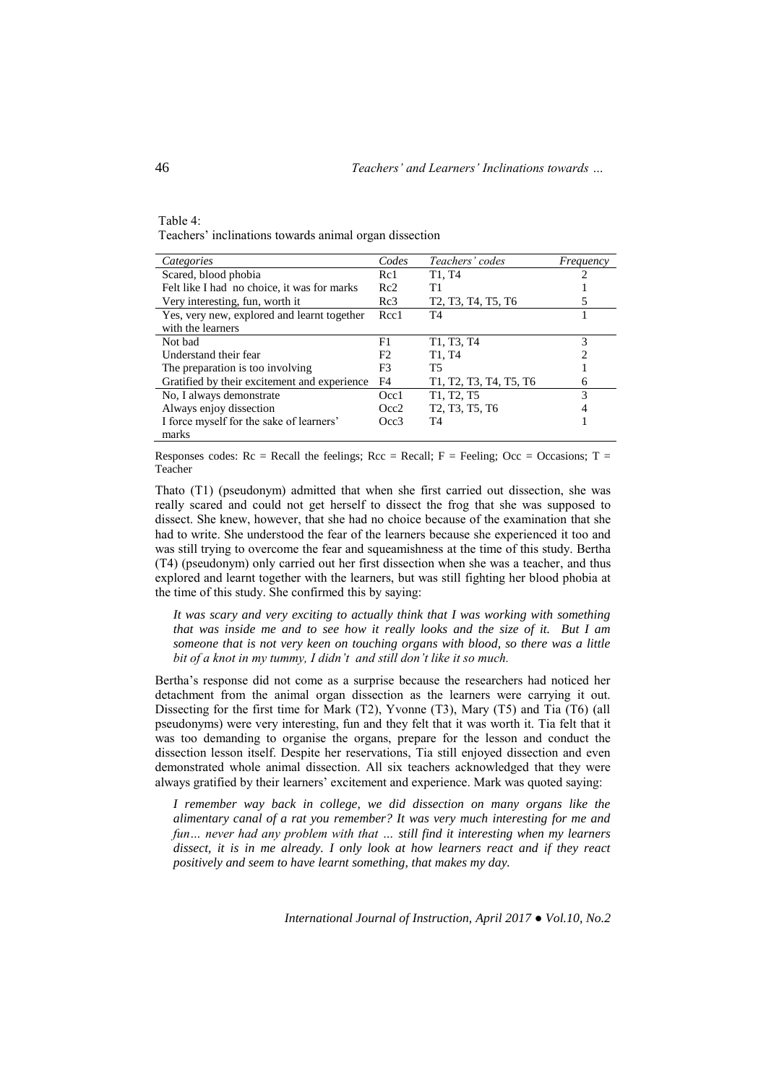Table 4:

Teachers' inclinations towards animal organ dissection

| Categories                                   | Codes | Teachers' codes                                                                                     | Frequency |
|----------------------------------------------|-------|-----------------------------------------------------------------------------------------------------|-----------|
| Scared, blood phobia                         | Rc1   | T1. T4                                                                                              |           |
| Felt like I had no choice, it was for marks  | Rc2   | Τ1                                                                                                  |           |
| Very interesting, fun, worth it              | Rc3   | T <sub>2</sub> , T <sub>3</sub> , T <sub>4</sub> , T <sub>5</sub> , T <sub>6</sub>                  |           |
| Yes, very new, explored and learnt together  | Rcc1  | T4                                                                                                  |           |
| with the learners                            |       |                                                                                                     |           |
| Not bad                                      | F1    | T1, T3, T4                                                                                          | 3         |
| Understand their fear                        | F2    | T1, T4                                                                                              |           |
| The preparation is too involving             | F3    | Т5                                                                                                  |           |
| Gratified by their excitement and experience | F4    | T <sub>1</sub> , T <sub>2</sub> , T <sub>3</sub> , T <sub>4</sub> , T <sub>5</sub> , T <sub>6</sub> | 6         |
| No, I always demonstrate                     | Occ1  | T1, T2, T5                                                                                          | 3         |
| Always enjoy dissection                      | Occ2  | T <sub>2</sub> , T <sub>3</sub> , T <sub>5</sub> , T <sub>6</sub>                                   |           |
| I force myself for the sake of learners'     | Occ3  | T4                                                                                                  |           |
| marks                                        |       |                                                                                                     |           |

Responses codes: Rc = Recall the feelings; Rcc = Recall; F = Feeling; Occ = Occasions; T = Teacher

Thato (T1) (pseudonym) admitted that when she first carried out dissection, she was really scared and could not get herself to dissect the frog that she was supposed to dissect. She knew, however, that she had no choice because of the examination that she had to write. She understood the fear of the learners because she experienced it too and was still trying to overcome the fear and squeamishness at the time of this study. Bertha (T4) (pseudonym) only carried out her first dissection when she was a teacher, and thus explored and learnt together with the learners, but was still fighting her blood phobia at the time of this study. She confirmed this by saying:

*It was scary and very exciting to actually think that I was working with something that was inside me and to see how it really looks and the size of it. But I am someone that is not very keen on touching organs with blood, so there was a little bit of a knot in my tummy, I didn't and still don't like it so much.*

Bertha's response did not come as a surprise because the researchers had noticed her detachment from the animal organ dissection as the learners were carrying it out. Dissecting for the first time for Mark (T2), Yvonne (T3), Mary (T5) and Tia (T6) (all pseudonyms) were very interesting, fun and they felt that it was worth it. Tia felt that it was too demanding to organise the organs, prepare for the lesson and conduct the dissection lesson itself. Despite her reservations, Tia still enjoyed dissection and even demonstrated whole animal dissection. All six teachers acknowledged that they were always gratified by their learners' excitement and experience. Mark was quoted saying:

*I remember way back in college, we did dissection on many organs like the alimentary canal of a rat you remember? It was very much interesting for me and fun… never had any problem with that … still find it interesting when my learners dissect, it is in me already. I only look at how learners react and if they react positively and seem to have learnt something, that makes my day.*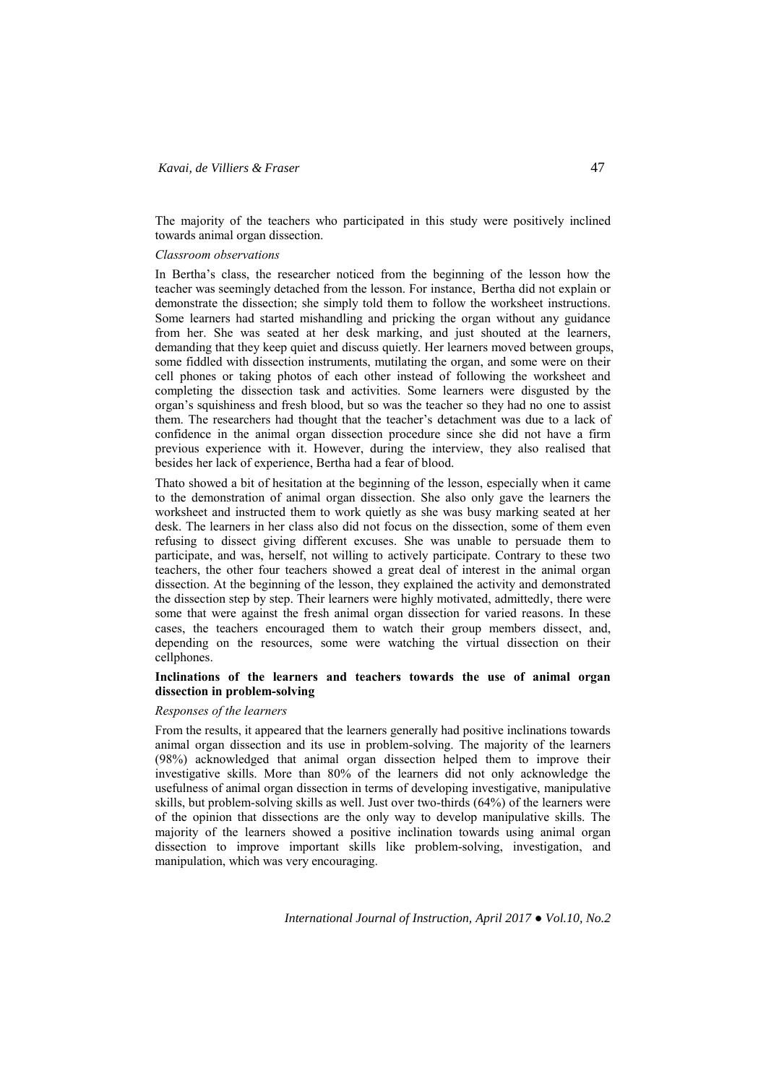The majority of the teachers who participated in this study were positively inclined towards animal organ dissection.

# *Classroom observations*

In Bertha's class, the researcher noticed from the beginning of the lesson how the teacher was seemingly detached from the lesson. For instance, Bertha did not explain or demonstrate the dissection; she simply told them to follow the worksheet instructions. Some learners had started mishandling and pricking the organ without any guidance from her. She was seated at her desk marking, and just shouted at the learners, demanding that they keep quiet and discuss quietly. Her learners moved between groups, some fiddled with dissection instruments, mutilating the organ, and some were on their cell phones or taking photos of each other instead of following the worksheet and completing the dissection task and activities. Some learners were disgusted by the organ's squishiness and fresh blood, but so was the teacher so they had no one to assist them. The researchers had thought that the teacher's detachment was due to a lack of confidence in the animal organ dissection procedure since she did not have a firm previous experience with it. However, during the interview, they also realised that besides her lack of experience, Bertha had a fear of blood.

Thato showed a bit of hesitation at the beginning of the lesson, especially when it came to the demonstration of animal organ dissection. She also only gave the learners the worksheet and instructed them to work quietly as she was busy marking seated at her desk. The learners in her class also did not focus on the dissection, some of them even refusing to dissect giving different excuses. She was unable to persuade them to participate, and was, herself, not willing to actively participate. Contrary to these two teachers, the other four teachers showed a great deal of interest in the animal organ dissection. At the beginning of the lesson, they explained the activity and demonstrated the dissection step by step. Their learners were highly motivated, admittedly, there were some that were against the fresh animal organ dissection for varied reasons. In these cases, the teachers encouraged them to watch their group members dissect, and, depending on the resources, some were watching the virtual dissection on their cellphones.

# **Inclinations of the learners and teachers towards the use of animal organ dissection in problem-solving**

# *Responses of the learners*

From the results, it appeared that the learners generally had positive inclinations towards animal organ dissection and its use in problem-solving. The majority of the learners (98%) acknowledged that animal organ dissection helped them to improve their investigative skills. More than 80% of the learners did not only acknowledge the usefulness of animal organ dissection in terms of developing investigative, manipulative skills, but problem-solving skills as well. Just over two-thirds (64%) of the learners were of the opinion that dissections are the only way to develop manipulative skills. The majority of the learners showed a positive inclination towards using animal organ dissection to improve important skills like problem-solving, investigation, and manipulation, which was very encouraging.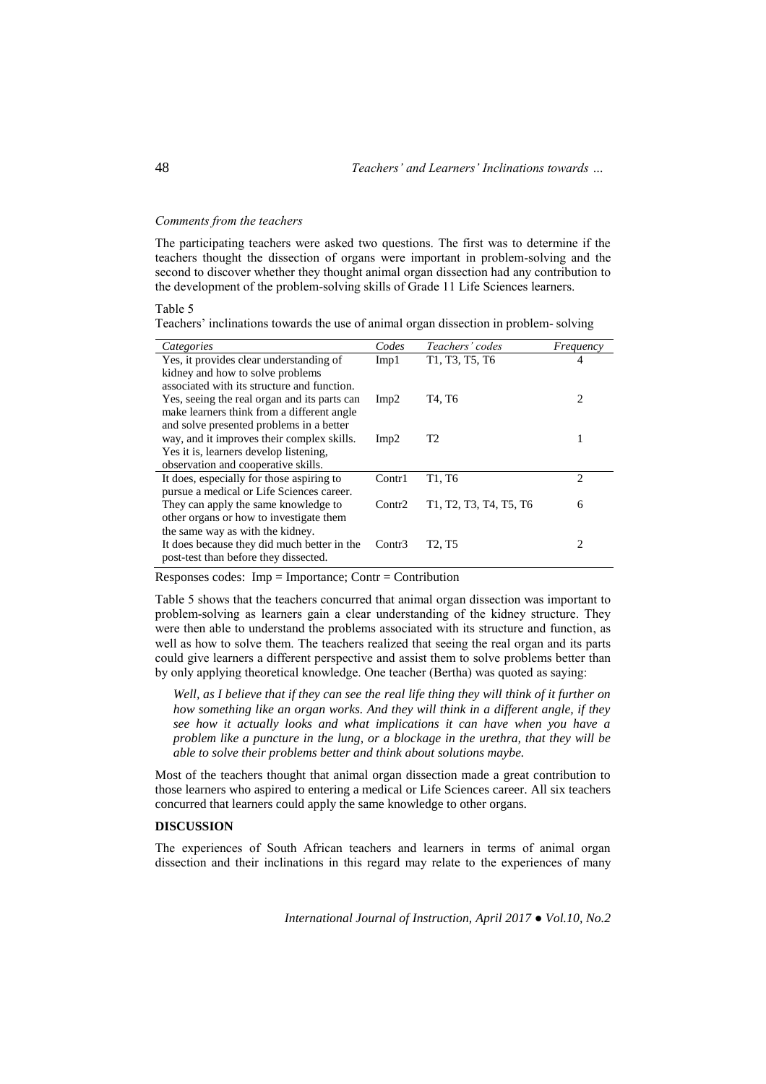# *Comments from the teachers*

The participating teachers were asked two questions. The first was to determine if the teachers thought the dissection of organs were important in problem-solving and the second to discover whether they thought animal organ dissection had any contribution to the development of the problem-solving skills of Grade 11 Life Sciences learners.

# Table 5

Teachers' inclinations towards the use of animal organ dissection in problem- solving

| Categories                                   | Codes              | Teachers' codes                                                                                     | Frequency |
|----------------------------------------------|--------------------|-----------------------------------------------------------------------------------------------------|-----------|
| Yes, it provides clear understanding of      | Imp1               | T1, T3, T5, T6                                                                                      |           |
| kidney and how to solve problems             |                    |                                                                                                     |           |
| associated with its structure and function.  |                    |                                                                                                     |           |
| Yes, seeing the real organ and its parts can | Imp2               | T <sub>4</sub> , T <sub>6</sub>                                                                     | 2         |
| make learners think from a different angle   |                    |                                                                                                     |           |
| and solve presented problems in a better     |                    |                                                                                                     |           |
| way, and it improves their complex skills.   | Imp2               | T2                                                                                                  |           |
| Yes it is, learners develop listening,       |                    |                                                                                                     |           |
| observation and cooperative skills.          |                    |                                                                                                     |           |
| It does, especially for those aspiring to    | Contr1             | T1, T6                                                                                              | 2         |
| pursue a medical or Life Sciences career.    |                    |                                                                                                     |           |
| They can apply the same knowledge to         | Contr <sub>2</sub> | T <sub>1</sub> , T <sub>2</sub> , T <sub>3</sub> , T <sub>4</sub> , T <sub>5</sub> , T <sub>6</sub> | 6         |
| other organs or how to investigate them      |                    |                                                                                                     |           |
| the same way as with the kidney.             |                    |                                                                                                     |           |
| It does because they did much better in the  | Contr3             | T <sub>2</sub> . T <sub>5</sub>                                                                     | 2         |
| post-test than before they dissected.        |                    |                                                                                                     |           |

Responses codes: Imp = Importance; Contr = Contribution

Table 5 shows that the teachers concurred that animal organ dissection was important to problem-solving as learners gain a clear understanding of the kidney structure. They were then able to understand the problems associated with its structure and function, as well as how to solve them. The teachers realized that seeing the real organ and its parts could give learners a different perspective and assist them to solve problems better than by only applying theoretical knowledge. One teacher (Bertha) was quoted as saying:

*Well, as I believe that if they can see the real life thing they will think of it further on how something like an organ works. And they will think in a different angle, if they see how it actually looks and what implications it can have when you have a problem like a puncture in the lung, or a blockage in the urethra, that they will be able to solve their problems better and think about solutions maybe.*

Most of the teachers thought that animal organ dissection made a great contribution to those learners who aspired to entering a medical or Life Sciences career. All six teachers concurred that learners could apply the same knowledge to other organs.

# **DISCUSSION**

The experiences of South African teachers and learners in terms of animal organ dissection and their inclinations in this regard may relate to the experiences of many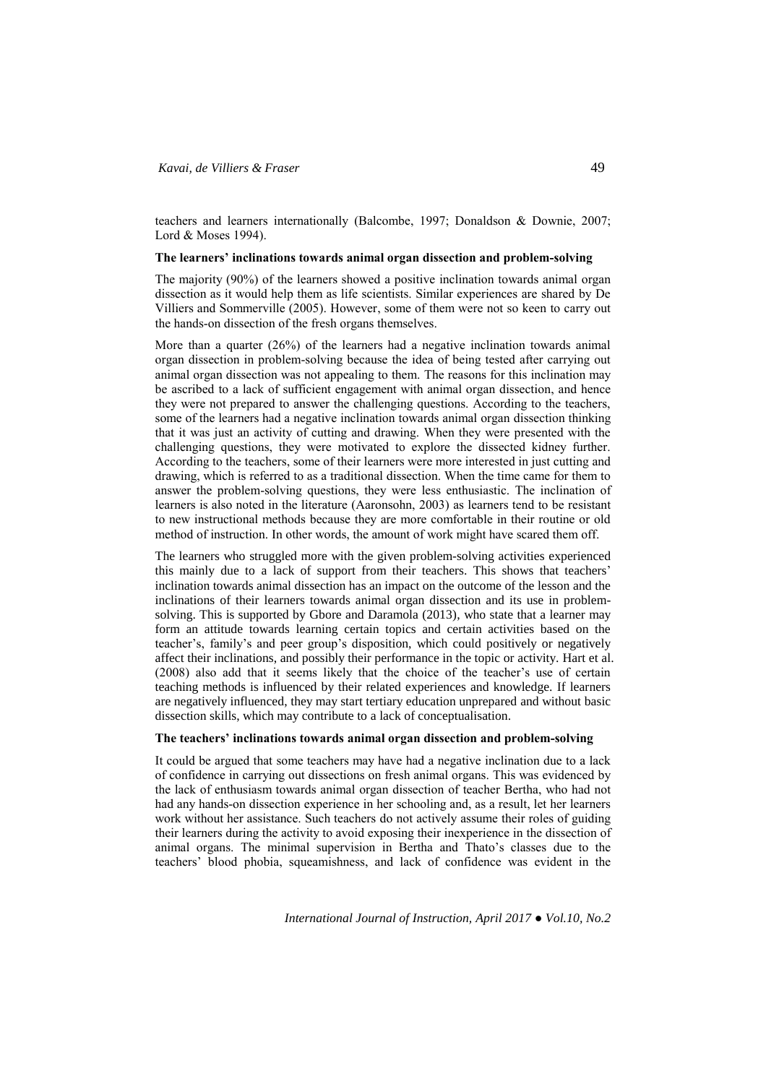teachers and learners internationally (Balcombe, 1997; Donaldson & Downie, 2007; Lord & Moses 1994).

# **The learners' inclinations towards animal organ dissection and problem-solving**

The majority (90%) of the learners showed a positive inclination towards animal organ dissection as it would help them as life scientists. Similar experiences are shared by De Villiers and Sommerville (2005). However, some of them were not so keen to carry out the hands-on dissection of the fresh organs themselves.

More than a quarter (26%) of the learners had a negative inclination towards animal organ dissection in problem-solving because the idea of being tested after carrying out animal organ dissection was not appealing to them. The reasons for this inclination may be ascribed to a lack of sufficient engagement with animal organ dissection, and hence they were not prepared to answer the challenging questions. According to the teachers, some of the learners had a negative inclination towards animal organ dissection thinking that it was just an activity of cutting and drawing. When they were presented with the challenging questions, they were motivated to explore the dissected kidney further. According to the teachers, some of their learners were more interested in just cutting and drawing, which is referred to as a traditional dissection. When the time came for them to answer the problem-solving questions, they were less enthusiastic. The inclination of learners is also noted in the literature (Aaronsohn, 2003) as learners tend to be resistant to new instructional methods because they are more comfortable in their routine or old method of instruction. In other words, the amount of work might have scared them off.

The learners who struggled more with the given problem-solving activities experienced this mainly due to a lack of support from their teachers. This shows that teachers' inclination towards animal dissection has an impact on the outcome of the lesson and the inclinations of their learners towards animal organ dissection and its use in problemsolving. This is supported by Gbore and Daramola (2013), who state that a learner may form an attitude towards learning certain topics and certain activities based on the teacher's, family's and peer group's disposition, which could positively or negatively affect their inclinations, and possibly their performance in the topic or activity. Hart et al. (2008) also add that it seems likely that the choice of the teacher's use of certain teaching methods is influenced by their related experiences and knowledge. If learners are negatively influenced, they may start tertiary education unprepared and without basic dissection skills, which may contribute to a lack of conceptualisation.

## **The teachers' inclinations towards animal organ dissection and problem-solving**

It could be argued that some teachers may have had a negative inclination due to a lack of confidence in carrying out dissections on fresh animal organs. This was evidenced by the lack of enthusiasm towards animal organ dissection of teacher Bertha, who had not had any hands-on dissection experience in her schooling and, as a result, let her learners work without her assistance. Such teachers do not actively assume their roles of guiding their learners during the activity to avoid exposing their inexperience in the dissection of animal organs. The minimal supervision in Bertha and Thato's classes due to the teachers' blood phobia, squeamishness, and lack of confidence was evident in the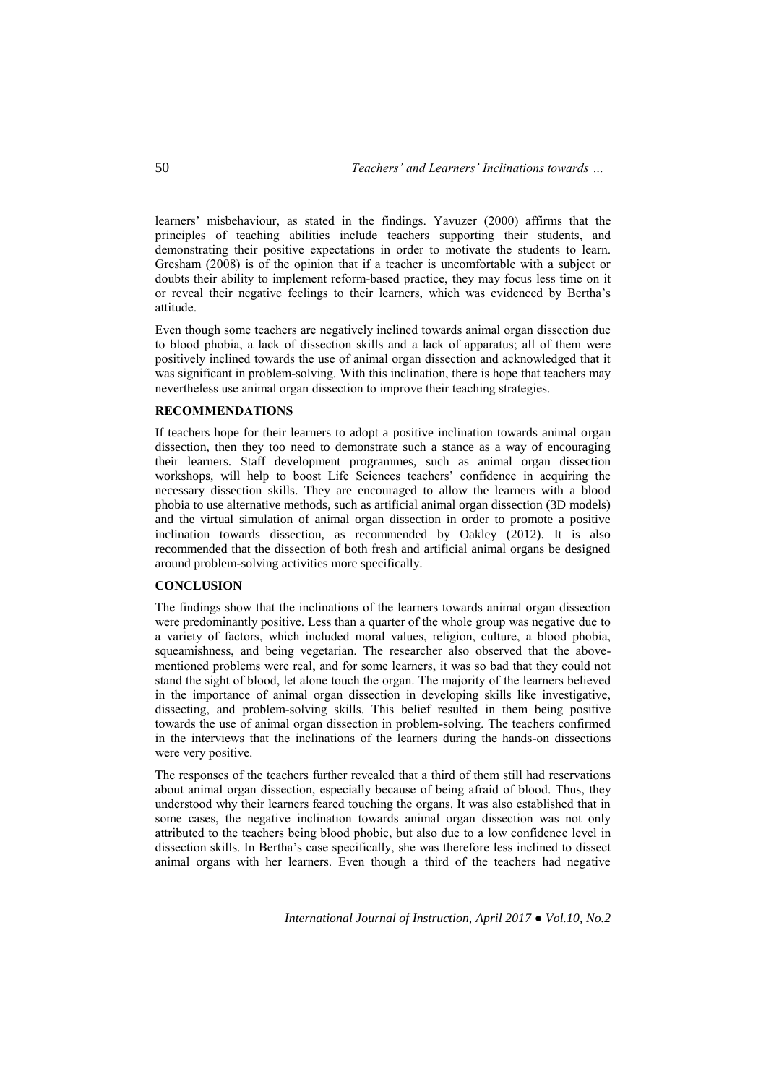learners' misbehaviour, as stated in the findings. Yavuzer (2000) affirms that the principles of teaching abilities include teachers supporting their students, and demonstrating their positive expectations in order to motivate the students to learn. Gresham (2008) is of the opinion that if a teacher is uncomfortable with a subject or doubts their ability to implement reform-based practice, they may focus less time on it or reveal their negative feelings to their learners, which was evidenced by Bertha's attitude.

Even though some teachers are negatively inclined towards animal organ dissection due to blood phobia, a lack of dissection skills and a lack of apparatus; all of them were positively inclined towards the use of animal organ dissection and acknowledged that it was significant in problem-solving. With this inclination, there is hope that teachers may nevertheless use animal organ dissection to improve their teaching strategies.

## **RECOMMENDATIONS**

If teachers hope for their learners to adopt a positive inclination towards animal organ dissection, then they too need to demonstrate such a stance as a way of encouraging their learners. Staff development programmes, such as animal organ dissection workshops, will help to boost Life Sciences teachers' confidence in acquiring the necessary dissection skills. They are encouraged to allow the learners with a blood phobia to use alternative methods, such as artificial animal organ dissection (3D models) and the virtual simulation of animal organ dissection in order to promote a positive inclination towards dissection, as recommended by Oakley (2012). It is also recommended that the dissection of both fresh and artificial animal organs be designed around problem-solving activities more specifically.

# **CONCLUSION**

The findings show that the inclinations of the learners towards animal organ dissection were predominantly positive. Less than a quarter of the whole group was negative due to a variety of factors, which included moral values, religion, culture, a blood phobia, squeamishness, and being vegetarian. The researcher also observed that the abovementioned problems were real, and for some learners, it was so bad that they could not stand the sight of blood, let alone touch the organ. The majority of the learners believed in the importance of animal organ dissection in developing skills like investigative, dissecting, and problem-solving skills. This belief resulted in them being positive towards the use of animal organ dissection in problem-solving. The teachers confirmed in the interviews that the inclinations of the learners during the hands-on dissections were very positive.

The responses of the teachers further revealed that a third of them still had reservations about animal organ dissection, especially because of being afraid of blood. Thus, they understood why their learners feared touching the organs. It was also established that in some cases, the negative inclination towards animal organ dissection was not only attributed to the teachers being blood phobic, but also due to a low confidence level in dissection skills. In Bertha's case specifically, she was therefore less inclined to dissect animal organs with her learners. Even though a third of the teachers had negative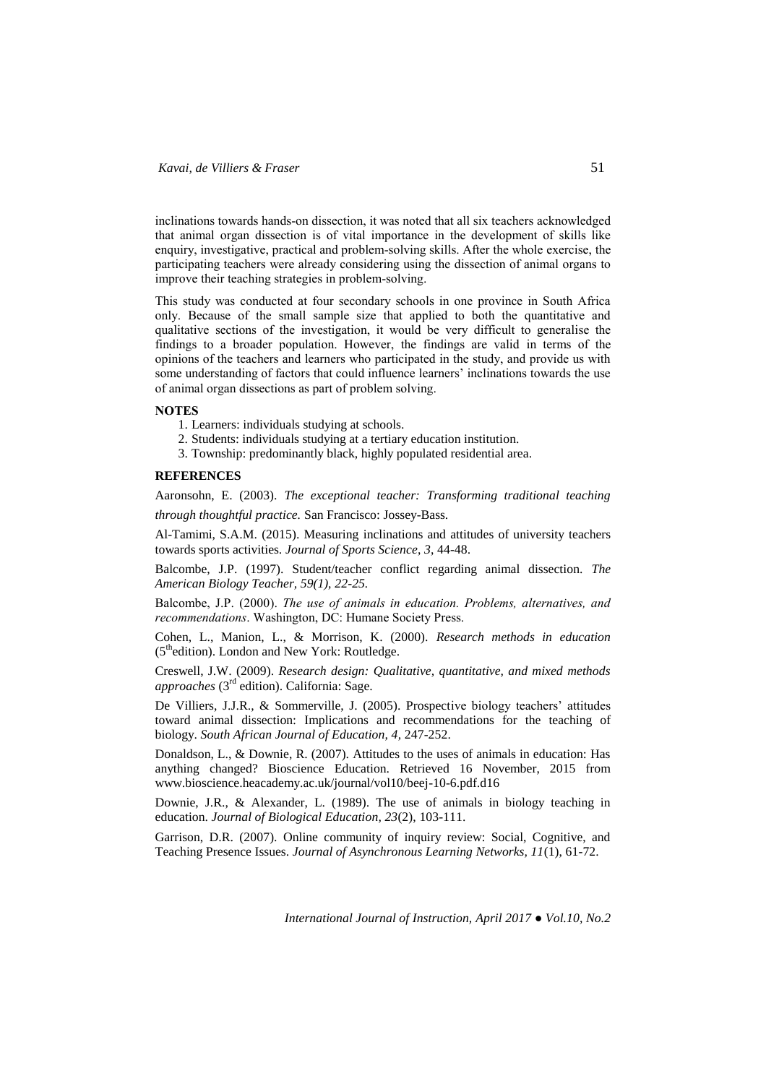inclinations towards hands-on dissection, it was noted that all six teachers acknowledged that animal organ dissection is of vital importance in the development of skills like enquiry, investigative, practical and problem-solving skills. After the whole exercise, the participating teachers were already considering using the dissection of animal organs to improve their teaching strategies in problem-solving.

This study was conducted at four secondary schools in one province in South Africa only. Because of the small sample size that applied to both the quantitative and qualitative sections of the investigation, it would be very difficult to generalise the findings to a broader population. However, the findings are valid in terms of the opinions of the teachers and learners who participated in the study, and provide us with some understanding of factors that could influence learners' inclinations towards the use of animal organ dissections as part of problem solving.

#### **NOTES**

- 1. Learners: individuals studying at schools.
- 2. Students: individuals studying at a tertiary education institution.
- 3. Township: predominantly black, highly populated residential area.

# **REFERENCES**

Aaronsohn, E. (2003). *The exceptional teacher: Transforming traditional teaching through thoughtful practice.* San Francisco: Jossey-Bass.

Al-Tamimi, S.A.M. (2015). Measuring inclinations and attitudes of university teachers towards sports activities. *Journal of Sports Science*, *3*, 44-48.

Balcombe, J.P. (1997). Student/teacher conflict regarding animal dissection. *The American Biology Teacher, 59(1), 22-25.*

Balcombe, J.P. (2000). *The use of animals in education. Problems, alternatives, and recommendations*. Washington, DC: Humane Society Press.

Cohen, L., Manion, L., & Morrison, K. (2000). *Research methods in education* (5<sup>th</sup>edition). London and New York: Routledge.

Creswell, J.W. (2009). *Research design: Qualitative, quantitative, and mixed methods approaches* (3rd edition). California: Sage.

De Villiers, J.J.R., & Sommerville, J. (2005). Prospective biology teachers' attitudes toward animal dissection: Implications and recommendations for the teaching of biology. *South African Journal of Education, 4,* 247-252.

Donaldson, L., & Downie, R. (2007). Attitudes to the uses of animals in education: Has anything changed? Bioscience Education. Retrieved 16 November, 2015 from [www.bioscience.heacademy.ac.uk/journal/vol10/beej-10-6.pdf.d16](http://www.bioscience.heacademy.ac.uk/journal/vol10/beej-10-6.pdf.d16)

Downie, J.R., & Alexander, L. (1989). The use of animals in biology teaching in education. *Journal of Biological Education, 23*(2), 103-111.

Garrison, D.R. (2007). Online community of inquiry review: Social, Cognitive, and Teaching Presence Issues. *Journal of Asynchronous Learning Networks, 11*(1), 61-72.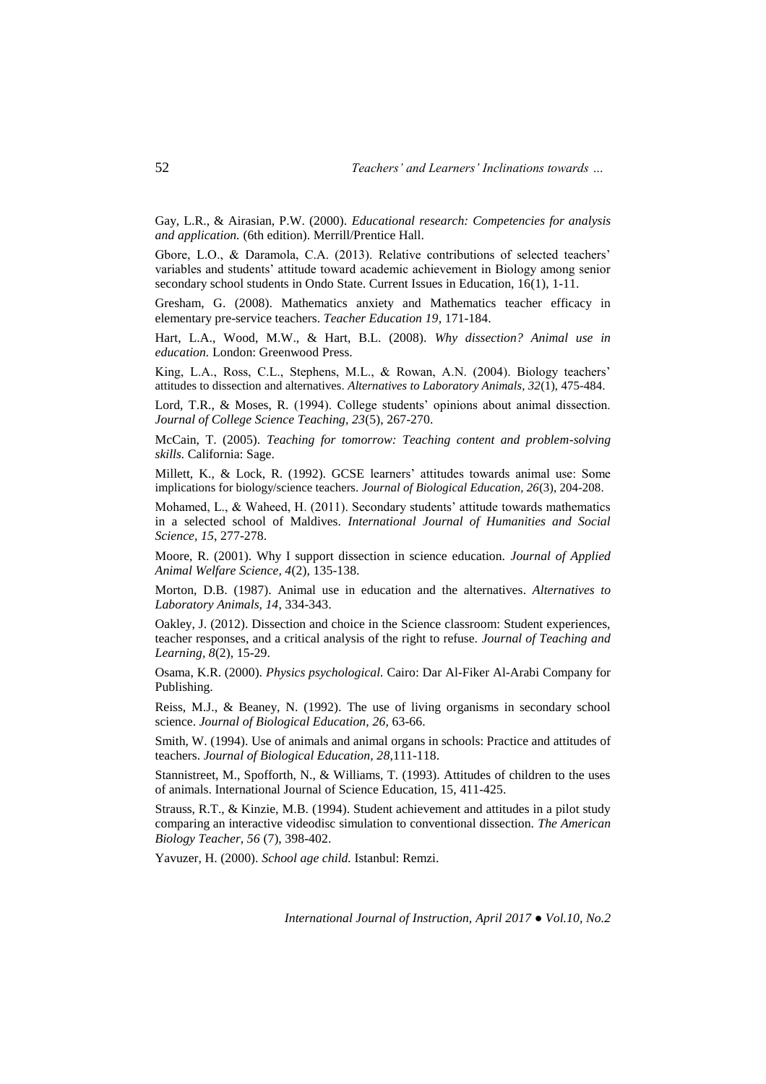Gay, L.R., & Airasian, P.W. (2000). *Educational research: Competencies for analysis and application.* (6th edition). Merrill/Prentice Hall.

Gbore, L.O., & Daramola, C.A. (2013). Relative contributions of selected teachers' variables and students' attitude toward academic achievement in Biology among senior secondary school students in Ondo State. Current Issues in Education, 16(1), 1-11.

Gresham, G. (2008). Mathematics anxiety and Mathematics teacher efficacy in elementary pre-service teachers. *Teacher Education 19*, 171-184.

Hart, L.A., Wood, M.W., & Hart, B.L. (2008). *Why dissection? Animal use in education.* London: Greenwood Press.

King, L.A., Ross, C.L., Stephens, M.L., & Rowan, A.N. (2004). Biology teachers' attitudes to dissection and alternatives. *Alternatives to Laboratory Animals, 32*(1), 475-484.

Lord, T.R., & Moses, R. (1994). College students' opinions about animal dissection. *Journal of College Science Teaching, 23*(5), 267-270.

McCain, T. (2005). *Teaching for tomorrow: Teaching content and problem-solving skills.* California: Sage.

Millett, K., & Lock, R. (1992). GCSE learners' attitudes towards animal use: Some implications for biology/science teachers. *Journal of Biological Education, 26*(3), 204-208.

Mohamed, L., & Waheed, H. (2011). Secondary students' attitude towards mathematics in a selected school of Maldives. *International Journal of Humanities and Social Science, 15*, 277-278.

Moore, R. (2001). Why I support dissection in science education. *Journal of Applied Animal Welfare Science, 4*(2), 135-138.

Morton, D.B. (1987). Animal use in education and the alternatives. *Alternatives to Laboratory Animals, 14*, 334-343.

Oakley, J. (2012). Dissection and choice in the Science classroom: Student experiences, teacher responses, and a critical analysis of the right to refuse. *Journal of Teaching and Learning, 8*(2), 15-29.

Osama, K.R. (2000). *Physics psychological.* Cairo: Dar Al-Fiker Al-Arabi Company for Publishing.

Reiss, M.J., & Beaney, N. (1992). The use of living organisms in secondary school science. *Journal of Biological Education, 26,* 63-66.

Smith, W. (1994). Use of animals and animal organs in schools: Practice and attitudes of teachers. *Journal of Biological Education, 28,*111-118.

Stannistreet, M., Spofforth, N., & Williams, T. (1993). Attitudes of children to the uses of animals. International Journal of Science Education, 15, 411-425.

Strauss, R.T., & Kinzie, M.B. (1994). Student achievement and attitudes in a pilot study comparing an interactive videodisc simulation to conventional dissection. *The American Biology Teacher, 56* (7), 398-402.

Yavuzer, H. (2000). *School age child.* Istanbul: Remzi.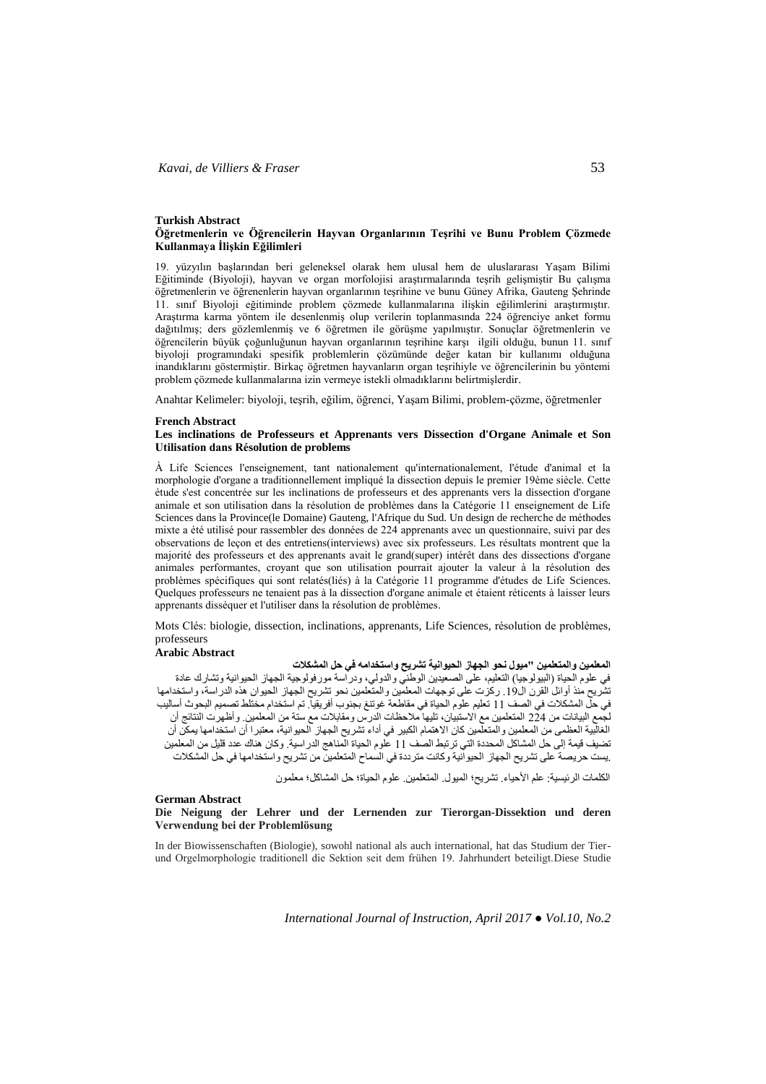### **Turkish Abstract Öğretmenlerin ve Öğrencilerin Hayvan Organlarının Teşrihi ve Bunu Problem Çözmede Kullanmaya İlişkin Eğilimleri**

19. yüzyılın başlarından beri geleneksel olarak hem ulusal hem de uluslararası Yaşam Bilimi Eğitiminde (Biyoloji), hayvan ve organ morfolojisi araştırmalarında teşrih gelişmiştir Bu çalışma öğretmenlerin ve öğrenenlerin hayvan organlarının teşrihine ve bunu Güney Afrika, Gauteng Şehrinde 11. sınıf Biyoloji eğitiminde problem çözmede kullanmalarına ilişkin eğilimlerini araştırmıştır. Araştırma karma yöntem ile desenlenmiş olup verilerin toplanmasında 224 öğrenciye anket formu dağıtılmış; ders gözlemlenmiş ve 6 öğretmen ile görüşme yapılmıştır. Sonuçlar öğretmenlerin ve öğrencilerin büyük çoğunluğunun hayvan organlarının teşrihine karşı ilgili olduğu, bunun 11. sınıf biyoloji programındaki spesifik problemlerin çözümünde değer katan bir kullanımı olduğuna inandıklarını göstermiştir. Birkaç öğretmen hayvanların organ teşrihiyle ve öğrencilerinin bu yöntemi problem çözmede kullanmalarına izin vermeye istekli olmadıklarını belirtmişlerdir.

Anahtar Kelimeler: biyoloji, teşrih, eğilim, öğrenci, Yaşam Bilimi, problem-çözme, öğretmenler

#### **French Abstract**

## **Les inclinations de Professeurs et Apprenants vers Dissection d'Organe Animale et Son Utilisation dans Résolution de problems**

À Life Sciences l'enseignement, tant nationalement qu'internationalement, l'étude d'animal et la morphologie d'organe a traditionnellement impliqué la dissection depuis le premier 19ème siècle. Cette étude s'est concentrée sur les inclinations de professeurs et des apprenants vers la dissection d'organe animale et son utilisation dans la résolution de problèmes dans la Catégorie 11 enseignement de Life Sciences dans la Province(le Domaine) Gauteng, l'Afrique du Sud. Un design de recherche de méthodes mixte a été utilisé pour rassembler des données de 224 apprenants avec un questionnaire, suivi par des observations de leçon et des entretiens(interviews) avec six professeurs. Les résultats montrent que la majorité des professeurs et des apprenants avait le grand(super) intérêt dans des dissections d'organe animales performantes, croyant que son utilisation pourrait ajouter la valeur à la résolution des problèmes spécifiques qui sont relatés(liés) à la Catégorie 11 programme d'études de Life Sciences. Quelques professeurs ne tenaient pas à la dissection d'organe animale et étaient réticents à laisser leurs apprenants disséquer et l'utiliser dans la résolution de problèmes.

Mots Clés: biologie, dissection, inclinations, apprenants, Life Sciences, résolution de problèmes, professeurs

## **Arabic Abstract**

# **المعلمين والمتعلمين "ميول نحو الجهاز الحيوانية تشريح واستخدامه في حل المشكالت**

في علوم الحياة )البيولوجيا( التعليم، على الصعيدين الوطني والدولي، ودراسة مورفولوجية الجهاز الحيوانية وتشارك عادة تشريح منذ أوائل القرن ال.91 ركزت على توجهات المعلمين والمتعلمين نحو تشريح الجهاز الحيوان هذه الدراسة، واستخدامها فتري حد الرابع العربي الرابع التي تعليم على حياتها المستخدمين المستخدمين على الحياس التي استخدام مختلط تصميم البحوث أساليب<br>في حل المشكلات في الصف 11 تعليم علوم الحياة في مقاطعة غوتنغ بجنوب أفريقيا. تم استخدام مختلط تصميم لجمع البيانات من 222 المتعلمين مع االستبيان، تليها مالحظات الدرس ومقابالت مع ستة من المعلمين. وأظهرت النتائج أن الغالبية العظمى من المعلمين والمتعلمين كان االهتمام الكبير في أداء تشريح الجهاز الحيوانية، معتبرا أن استخدامها يمكن أن تضيف قيمة إلى حل المشاكل المحددة التي ترتبط الصف 99 علوم الحياة المناهج الدراسية. وكان هناك عدد قليل من المعلمين .يست حريصة على تشريح الجهاز الحيوانية وكانت مترددة في السماح المتعلمين من تشريح واستخدامها في حل المشكالت

الكلمات الرئيسية: علم األحياء. تشريح؛ الميول. المتعلمين. علوم الحياة؛ حل المشاكل؛ معلمون

#### **German Abstract**

## **Die Neigung der Lehrer und der Lernenden zur Tierorgan-Dissektion und deren Verwendung bei der Problemlösung**

In der Biowissenschaften (Biologie), sowohl national als auch international, hat das Studium der Tierund Orgelmorphologie traditionell die Sektion seit dem frühen 19. Jahrhundert beteiligt.Diese Studie